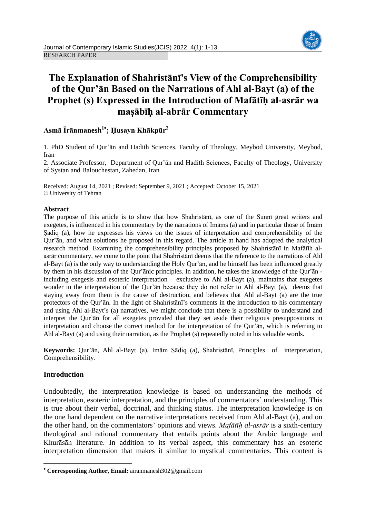# **The Explanation of Shahristānī's View of the Comprehensibility of the Qur'ān Based on the Narrations of Ahl al-Bayt (a) of the Prophet (s) Expressed in the Introduction of Mafātīḥ al-asrār wa maṣābīḥ al-abrār Commentary**

# **Asmā Īrānmanesh<sup>1</sup> ; Ḥusayn Khākpūr<sup>2</sup>**

1. PhD Student of Qur'ān and Hadith Sciences, Faculty of Theology, Meybod University, Meybod, Iran

2. Associate Professor, Department of Qur'ān and Hadith Sciences, Faculty of Theology, University of Systan and Balouchestan, Zahedan, Iran

Received: August 14, 2021 ; Revised: September 9, 2021 ; Accepted: October 15, 2021 © University of Tehran

# **Abstract**

The purpose of this article is to show that how Shahristānī, as one of the Sunnī great writers and exegetes, is influenced in his commentary by the narrations of Imāms (a) and in particular those of Imām Ṣādiq (a), how he expresses his views on the issues of interpretation and comprehensibility of the Qur'ān, and what solutions he proposed in this regard. The article at hand has adopted the analytical research method. Examining the comprehensibility principles proposed by Shahristānī in Mafātīḥ alasrār commentary, we come to the point that Shahristānī deems that the reference to the narrations of Ahl al-Bayt (a) is the only way to understanding the Holy Qur'ān, and he himself has been influenced greatly by them in his discussion of the Qur'ānic principles. In addition, he takes the knowledge of the Qur'ān including exegesis and esoteric interpretation – exclusive to Ahl al-Bayt (a), maintains that exegetes wonder in the interpretation of the Qur'ān because they do not refer to Ahl al-Bayt (a), deems that staying away from them is the cause of destruction, and believes that Ahl al-Bayt (a) are the true protectors of the Qur'ān. In the light of Shahristānī's comments in the introduction to his commentary and using Ahl al-Bayt's (a) narratives, we might conclude that there is a possibility to understand and interpret the Qur'ān for all exegetes provided that they set aside their religious presuppositions in interpretation and choose the correct method for the interpretation of the Qur'ān, which is referring to Ahl al-Bayt (a) and using their narration, as the Prophet (s) repeatedly noted in his valuable words.

**Keywords:** Qur'ān, Ahl al-Bayt (a), Imām Ṣādiq (a), Shahristānī, Principles of interpretation, Comprehensibility.

# **Introduction**

**.** 

Undoubtedly, the interpretation knowledge is based on understanding the methods of interpretation, esoteric interpretation, and the principles of commentators' understanding. This is true about their verbal, doctrinal, and thinking status. The interpretation knowledge is on the one hand dependent on the narrative interpretations received from Ahl al-Bayt (a), and on the other hand, on the commentators' opinions and views. *Mafātīḥ al-asrār* is a sixth-century theological and rational commentary that entails points about the Arabic language and Khurāsān literature. In addition to its verbal aspect, this commentary has an esoteric interpretation dimension that makes it similar to mystical commentaries. This content is

**Corresponding Author, Email:** airanmanesh302@gmail.com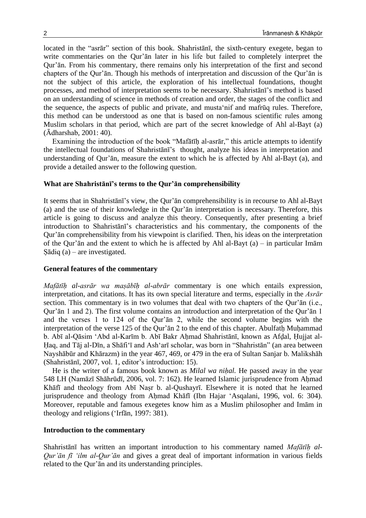located in the "asrār" section of this book. Shahristānī, the sixth-century exegete, began to write commentaries on the Qur'ān later in his life but failed to completely interpret the Qur'ān. From his commentary, there remains only his interpretation of the first and second chapters of the Qur'ān. Though his methods of interpretation and discussion of the Qur'ān is not the subject of this article, the exploration of his intellectual foundations, thought processes, and method of interpretation seems to be necessary. Shahristānī's method is based on an understanding of science in methods of creation and order, the stages of the conflict and the sequence, the aspects of public and private, and musta'nif and mafrūq rules. Therefore, this method can be understood as one that is based on non-famous scientific rules among Muslim scholars in that period, which are part of the secret knowledge of Ahl al-Bayt (a) (Ādharshab, 2001: 40).

Examining the introduction of the book "Mafātīḥ al-asrār," this article attempts to identify the intellectual foundations of Shahristānī's thought, analyze his ideas in interpretation and understanding of Qur'ān, measure the extent to which he is affected by Ahl al-Bayt (a), and provide a detailed answer to the following question.

### **What are Shahristānī's terms to the Qur'ān comprehensibility**

It seems that in Shahristānī's view, the Qur'ān comprehensibility is in recourse to Ahl al-Bayt (a) and the use of their knowledge in the Qur'ān interpretation is necessary. Therefore, this article is going to discuss and analyze this theory. Consequently, after presenting a brief introduction to Shahristānī's characteristics and his commentary, the components of the Qur'ān comprehensibility from his viewpoint is clarified. Then, his ideas on the interpretation of the Qur'an and the extent to which he is affected by Ahl al-Bayt  $(a)$  – in particular Imam Ṣādiq (a) – are investigated.

### **General features of the commentary**

*Mafātīḥ al-asrār wa maṣābīḥ al-abrār* commentary is one which entails expression, interpretation, and citations. It has its own special literature and terms, especially in the *Asrār* section. This commentary is in two volumes that deal with two chapters of the Qur'ān (i.e., Qur'ān 1 and 2). The first volume contains an introduction and interpretation of the Qur'ān 1 and the verses 1 to 124 of the Qur'ān 2, while the second volume begins with the interpretation of the verse 125 of the Qur'ān 2 to the end of this chapter. Abulfatḥ Muḥammad b. Abī al-Qāsim 'Abd al-Karīm b. Abī Bakr Aḥmad Shahristānī, known as Afḍal, Ḥujjat al-Ḥaq, and Tāj al-Dīn, a Shāfi'ī and Ash'arī scholar, was born in "Shahristān" (an area between Nayshābūr and Khārazm) in the year 467, 469, or 479 in the era of Sultan Sanjar b. Malikshāh (Shahristānī, 2007, vol. 1, editor's introduction: 15).

He is the writer of a famous book known as *Milal wa niḥal.* He passed away in the year 548 LH (Namāzī Shāhrūdī, 2006, vol. 7: 162). He learned Islamic jurisprudence from Aḥmad Khāfī and theology from Abī Naṣr b. al-Qushayrī. Elsewhere it is noted that he learned jurisprudence and theology from Ahmad Khāfī (Ibn Hajar 'Asqalani, 1996, vol. 6: 304). Moreover, reputable and famous exegetes know him as a Muslim philosopher and Imām in theology and religions ('Irfān, 1997: 381).

# **Introduction to the commentary**

Shahristānī has written an important introduction to his commentary named *Mafātīḥ al-Qur'ān fī 'ilm al-Qur'ān* and gives a great deal of important information in various fields related to the Qur'ān and its understanding principles.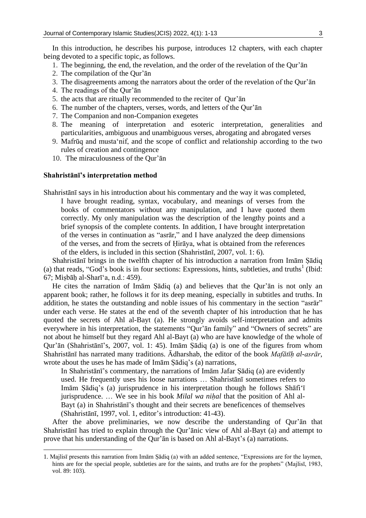In this introduction, he describes his purpose, introduces 12 chapters, with each chapter being devoted to a specific topic, as follows.

- 1. The beginning, the end, the revelation, and the order of the revelation of the Qur'ān
- 2. The compilation of the Qur'ān
- 3. The disagreements among the narrators about the order of the revelation of the Qur'ān
- 4. The readings of the Qur'ān
- 5. the acts that are ritually recommended to the reciter of Qur'ān
- 6. The number of the chapters, verses, words, and letters of the Qur'ān
- 7. The Companion and non-Companion exegetes
- 8. The meaning of interpretation and esoteric interpretation, generalities and particularities, ambiguous and unambiguous verses, abrogating and abrogated verses
- 9. Mafrūq and musta'nif, and the scope of conflict and relationship according to the two rules of creation and contingence
- 10. The miraculousness of the Qur'ān

#### **Shahristānī's interpretation method**

**.** 

Shahristānī says in his introduction about his commentary and the way it was completed, I have brought reading, syntax, vocabulary, and meanings of verses from the books of commentators without any manipulation, and I have quoted them correctly. My only manipulation was the description of the lengthy points and a brief synopsis of the complete contents. In addition, I have brought interpretation of the verses in continuation as "asrār," and I have analyzed the deep dimensions of the verses, and from the secrets of Ḥirāya, what is obtained from the references of the elders, is included in this section (Shahristānī, 2007, vol. 1: 6).

Shahristānī brings in the twelfth chapter of his introduction a narration from Imām Ṣādiq (a) that reads, "God's book is in four sections: Expressions, hints, subtleties, and truths<sup>1</sup> (Ibid: 67; Miṣbāḥ al-Sharī'a, n.d.: 459).

He cites the narration of Imām Ṣādiq (a) and believes that the Qur'ān is not only an apparent book; rather, he follows it for its deep meaning, especially in subtitles and truths. In addition, he states the outstanding and noble issues of his commentary in the section "asrār" under each verse. He states at the end of the seventh chapter of his introduction that he has quoted the secrets of Ahl al-Bayt (a). He strongly avoids self-interpretation and admits everywhere in his interpretation, the statements "Qur'ān family" and "Owners of secrets" are not about he himself but they regard Ahl al-Bayt (a) who are have knowledge of the whole of Qur'ān (Shahristānī's, 2007, vol. 1: 45). Imām Ṣādiq (a) is one of the figures from whom Shahristānī has narrated many traditions. Ādharshab, the editor of the book *Mafātīḥ al-asrār*, wrote about the uses he has made of Imām Ṣādiq's (a) narrations,

In Shahristānī's commentary, the narrations of Imām Jafar Ṣādiq (a) are evidently used. He frequently uses his loose narrations … Shahristānī sometimes refers to Imām Ṣādiq's (a) jurisprudence in his interpretation though he follows Shāfi'ī jurisprudence. ... We see in his book *Milal wa nihal* that the position of Ahl al-Bayt (a) in Shahristānī's thought and their secrets are beneficences of themselves (Shahristānī, 1997, vol. 1, editor's introduction: 41-43).

After the above preliminaries, we now describe the understanding of Qur'ān that Shahristānī has tried to explain through the Qur'ānic view of Ahl al-Bayt (a) and attempt to prove that his understanding of the Qur'ān is based on Ahl al-Bayt's (a) narrations.

<sup>1.</sup> Majlisī presents this narration from Imām Ṣādiq (a) with an added sentence, "Expressions are for the laymen, hints are for the special people, subtleties are for the saints, and truths are for the prophets" (Majlisī, 1983, vol. 89: 103).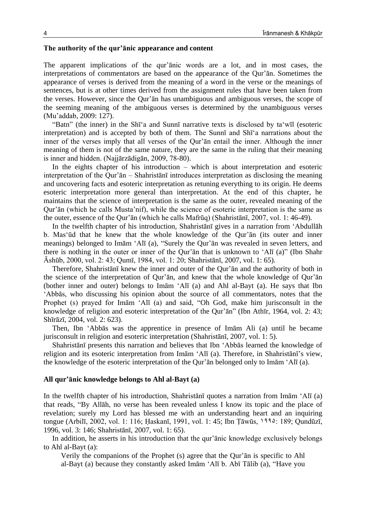# **The authority of the qur'ānic appearance and content**

The apparent implications of the qur'ānic words are a lot, and in most cases, the interpretations of commentators are based on the appearance of the Qur'ān. Sometimes the appearance of verses is derived from the meaning of a word in the verse or the meanings of sentences, but is at other times derived from the assignment rules that have been taken from the verses. However, since the Qur'ān has unambiguous and ambiguous verses, the scope of the seeming meaning of the ambiguous verses is determined by the unambiguous verses (Mu'addab, 2009: 127).

"Batn" (the inner) in the Shī'a and Sunnī narrative texts is disclosed by ta'wīl (esoteric interpretation) and is accepted by both of them. The Sunnī and Shī'a narrations about the inner of the verses imply that all verses of the Qur'ān entail the inner. Although the inner meaning of them is not of the same nature, they are the same in the ruling that their meaning is inner and hidden. (Najjārzādigān, 2009, 78-80).

In the eights chapter of his introduction – which is about interpretation and esoteric interpretation of the Qur'ān – Shahristānī introduces interpretation as disclosing the meaning and uncovering facts and esoteric interpretation as retuning everything to its origin. He deems esoteric interpretation more general than interpretation. At the end of this chapter, he maintains that the science of interpretation is the same as the outer, revealed meaning of the Qur'ān (which he calls Musta'nif), while the science of esoteric interpretation is the same as the outer, essence of the Qur'ān (which he calls Mafrūq) (Shahristānī, 2007, vol. 1: 46-49).

In the twelfth chapter of his introduction, Shahristānī gives in a narration from 'Abdullāh b. Mas'ūd that he knew that the whole knowledge of the Qur'ān (its outer and inner meanings) belonged to Imām 'Alī (a), "Surely the Qur'ān was revealed in seven letters, and there is nothing in the outer or inner of the Qur'ān that is unknown to 'Alī (a)" (Ibn Shahr Āshūb, 2000, vol. 2: 43; Qumī, 1984, vol. 1: 20; Shahristānī, 2007, vol. 1: 65).

Therefore, Shahristānī knew the inner and outer of the Qur'ān and the authority of both in the science of the interpretation of Qur'ān, and knew that the whole knowledge of Qur'ān (bother inner and outer) belongs to Imām 'Alī (a) and Ahl al-Bayt (a). He says that Ibn 'Abbās, who discussing his opinion about the source of all commentators, notes that the Prophet (s) prayed for Imām 'Alī (a) and said, "Oh God, make him jurisconsult in the knowledge of religion and esoteric interpretation of the Qur'ān" (Ibn Athīr, 1964, vol. 2: 43; Shīrāzī, 2004, vol. 2: 623).

Then, Ibn 'Abbās was the apprentice in presence of Imām Ali (a) until he became jurisconsult in religion and esoteric interpretation (Shahristānī, 2007, vol. 1: 5).

Shahristānī presents this narration and believes that Ibn 'Abbās learned the knowledge of religion and its esoteric interpretation from Imām 'Alī (a). Therefore, in Shahristānī's view, the knowledge of the esoteric interpretation of the Qur'ān belonged only to Imām 'Alī (a).

#### **All qur'ānic knowledge belongs to Ahl al-Bayt (a)**

In the twelfth chapter of his introduction, Shahristānī quotes a narration from Imām 'Alī (a) that reads, "By Allāh, no verse has been revealed unless I know its topic and the place of revelation; surely my Lord has blessed me with an understanding heart and an inquiring tongue (Arbilī, 2002, vol. 1: 116; Ḥaskanī, 1991, vol. 1: 45; Ibn Ṭāwūs, 1995: 189; Qundūzī, 1996, vol. 3: 146; Shahristānī, 2007, vol. 1: 65).

In addition, he asserts in his introduction that the qur'ānic knowledge exclusively belongs to Ahl al-Bayt (a):

Verily the companions of the Prophet (s) agree that the Qur'ān is specific to Ahl al-Bayt (a) because they constantly asked Imām 'Alī b. Abī Tālib (a), "Have you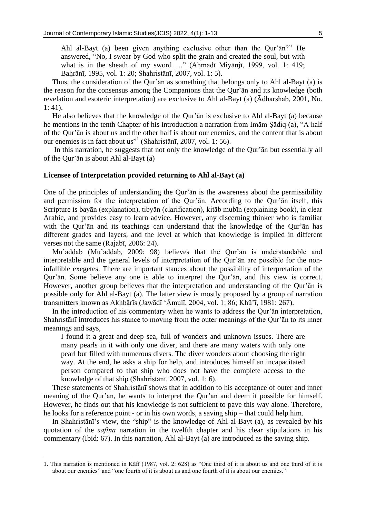Thus, the consideration of the Qur'ān as something that belongs only to Ahl al-Bayt (a) is the reason for the consensus among the Companions that the Qur'ān and its knowledge (both revelation and esoteric interpretation) are exclusive to Ahl al-Bayt (a) (Ādharshab, 2001, No. 1: 41).

He also believes that the knowledge of the Qur'ān is exclusive to Ahl al-Bayt (a) because he mentions in the tenth Chapter of his introduction a narration from Imām Ṣādiq (a), "A half of the Qur'ān is about us and the other half is about our enemies, and the content that is about our enemies is in fact about us"<sup>1</sup> (Shahristānī, 2007, vol. 1: 56).

In this narration, he suggests that not only the knowledge of the Qur'ān but essentially all of the Qur'ān is about Ahl al-Bayt (a)

### **Licensee of Interpretation provided returning to Ahl al-Bayt (a)**

One of the principles of understanding the Qur'ān is the awareness about the permissibility and permission for the interpretation of the Qur'ān. According to the Qur'ān itself, this Scripture is bayān (explanation), tibyān (clarification), kitāb mubīn (explaining book), in clear Arabic, and provides easy to learn advice. However, any discerning thinker who is familiar with the Qur'ān and its teachings can understand that the knowledge of the Qur'ān has different grades and layers, and the level at which that knowledge is implied in different verses not the same (Rajabī, 2006: 24).

Mu'addab (Mu'addab, 2009: 98) believes that the Qur'ān is understandable and interpretable and the general levels of interpretation of the Qur'ān are possible for the noninfallible exegetes. There are important stances about the possibility of interpretation of the Qur'ān. Some believe any one is able to interpret the Qur'ān, and this view is correct. However, another group believes that the interpretation and understanding of the Qur'ān is possible only for Ahl al-Bayt (a). The latter view is mostly proposed by a group of narration transmitters known as Akhbārīs (Jawādī 'Āmulī, 2004, vol. 1: 86; Khū'ī, 1981: 267).

In the introduction of his commentary when he wants to address the Qur'ān interpretation, Shahristānī introduces his stance to moving from the outer meanings of the Qur'ān to its inner meanings and says,

I found it a great and deep sea, full of wonders and unknown issues. There are many pearls in it with only one diver, and there are many waters with only one pearl but filled with numerous divers. The diver wonders about choosing the right way. At the end, he asks a ship for help, and introduces himself an incapacitated person compared to that ship who does not have the complete access to the knowledge of that ship (Shahristānī, 2007, vol. 1: 6).

These statements of Shahristānī shows that in addition to his acceptance of outer and inner meaning of the Qur'ān, he wants to interpret the Qur'ān and deem it possible for himself. However, he finds out that his knowledge is not sufficient to pave this way alone. Therefore, he looks for a reference point - or in his own words, a saving ship – that could help him.

In Shahristānī's view, the "ship" is the knowledge of Ahl al-Bayt (a), as revealed by his quotation of the *safīna* narration in the twelfth chapter and his clear stipulations in his commentary (Ibid: 67). In this narration, Ahl al-Bayt (a) are introduced as the saving ship.

1

<sup>1.</sup> This narration is mentioned in Kāfī (1987, vol. 2: 628) as "One third of it is about us and one third of it is about our enemies" and "one fourth of it is about us and one fourth of it is about our enemies."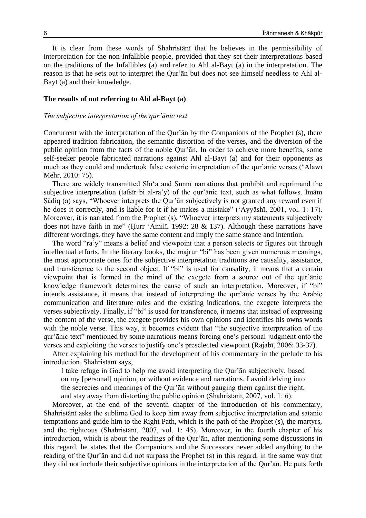It is clear from these words of Shahristānī that he believes in the permissibility of interpretation for the non-Infallible people, provided that they set their interpretations based on the traditions of the Infallibles (a) and refer to Ahl al-Bayt (a) in the interpretation. The reason is that he sets out to interpret the Qur'ān but does not see himself needless to Ahl al-Bayt (a) and their knowledge.

#### **The results of not referring to Ahl al-Bayt (a)**

#### *The subjective interpretation of the qur'ānic text*

Concurrent with the interpretation of the Qur'ān by the Companions of the Prophet (s), there appeared tradition fabrication, the semantic distortion of the verses, and the diversion of the public opinion from the facts of the noble Qur'ān. In order to achieve more benefits, some self-seeker people fabricated narrations against Ahl al-Bayt (a) and for their opponents as much as they could and undertook false esoteric interpretation of the qur'ānic verses ('Alawī Mehr, 2010: 75).

There are widely transmitted Shī'a and Sunnī narrations that prohibit and reprimand the subjective interpretation (tafsīr bi al-ra'y) of the qur'ānic text, such as what follows. Imām Ṣādiq (a) says, "Whoever interprets the Qur'ān subjectively is not granted any reward even if he does it correctly, and is liable for it if he makes a mistake" ('Ayyāshī, 2001, vol. 1: 17). Moreover, it is narrated from the Prophet (s), "Whoever interprets my statements subjectively does not have faith in me" (Ḥurr 'Āmilī, 1992: 28 & 137). Although these narrations have different wordings, they have the same content and imply the same stance and intention.

The word "ra'y" means a belief and viewpoint that a person selects or figures out through intellectual efforts. In the literary books, the majrūr "bi" has been given numerous meanings, the most appropriate ones for the subjective interpretation traditions are causality, assistance, and transference to the second object. If "bi" is used for causality, it means that a certain viewpoint that is formed in the mind of the exegete from a source out of the qur'ānic knowledge framework determines the cause of such an interpretation. Moreover, if "bi" intends assistance, it means that instead of interpreting the qur'ānic verses by the Arabic communication and literature rules and the existing indications, the exegete interprets the verses subjectively. Finally, if "bi" is used for transference, it means that instead of expressing the content of the verse, the exegete provides his own opinions and identifies his owns words with the noble verse. This way, it becomes evident that "the subjective interpretation of the qur'ānic text" mentioned by some narrations means forcing one's personal judgment onto the verses and exploiting the verses to justify one's preselected viewpoint (Rajabī, 2006: 33-37).

After explaining his method for the development of his commentary in the prelude to his introduction, Shahristānī says,

I take refuge in God to help me avoid interpreting the Qur'ān subjectively, based on my [personal] opinion, or without evidence and narrations. I avoid delving into the secrecies and meanings of the Qur'ān without gauging them against the right, and stay away from distorting the public opinion (Shahristānī, 2007, vol. 1: 6).

Moreover, at the end of the seventh chapter of the introduction of his commentary, Shahristānī asks the sublime God to keep him away from subjective interpretation and satanic temptations and guide him to the Right Path, which is the path of the Prophet (s), the martyrs, and the righteous (Shahristānī, 2007, vol. 1: 45). Moreover, in the fourth chapter of his introduction, which is about the readings of the Qur'ān, after mentioning some discussions in this regard, he states that the Companions and the Successors never added anything to the reading of the Qur'ān and did not surpass the Prophet (s) in this regard, in the same way that they did not include their subjective opinions in the interpretation of the Qur'ān. He puts forth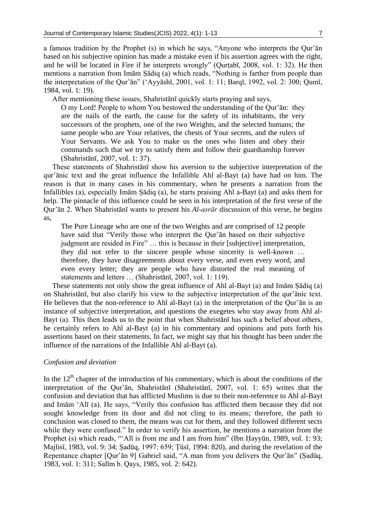a famous tradition by the Prophet (s) in which he says, "Anyone who interprets the Qur'ān based on his subjective opinion has made a mistake even if his assertion agrees with the right, and he will be located in Fire if he interprets wrongly" (Qurṭabī, 2008, vol. 1: 32). He then mentions a narration from Imām Ṣādiq (a) which reads, "Nothing is farther from people than the interpretation of the Qur'ān" ('Ayyāshī, 2001, vol. 1: 11; Barqī, 1992, vol. 2: 300; Qumī, 1984, vol. 1: 19).

After mentioning these issues, Shahristānī quickly starts praying and says,

O my Lord! People to whom You bestowed the understanding of the Qur'ān: they are the nails of the earth, the cause for the safety of its inhabitants, the very successors of the prophets, one of the two Weights, and the selected humans; the same people who are Your relatives, the chests of Your secrets, and the rulers of Your Servants. We ask You to make us the ones who listen and obey their commands such that we try to satisfy them and follow their guardianship forever (Shahristānī, 2007, vol. 1: 37).

These statements of Shahristānī show his aversion to the subjective interpretation of the qur'ānic text and the great influence the Infallible Ahl al-Bayt (a) have had on him. The reason is that in many cases in his commentary, when he presents a narration from the Infallibles (a), especially Imām Ṣādiq (a), he starts praising Ahl a-Bayt (a) and asks them for help. The pinnacle of this influence could be seen in his interpretation of the first verse of the Qur'ān 2. When Shahristānī wants to present his *Al-asrār* discussion of this verse, he begins as,

The Pure Lineage who are one of the two Weights and are comprised of 12 people have said that "Verily those who interpret the Qur'ān based on their subjective judgment are resided in Fire" … this is because in their [subjective] interpretation, they did not refer to the sincere people whose sincerity is well-known … therefore, they have disagreements about every verse, and even every word, and even every letter; they are people who have distorted the real meaning of statements and letters … (Shahristānī, 2007, vol. 1: 119).

These statements not only show the great influence of Ahl al-Bayt (a) and Imām Ṣādiq (a) on Shahristānī, but also clarify his view to the subjective interpretation of the qur'ānic text. He believes that the non-reference to Ahl al-Bayt (a) in the interpretation of the Qur'ān is an instance of subjective interpretation, and questions the exegetes who stay away from Ahl al-Bayt (a). This then leads us to the point that when Shahristānī has such a belief about others, he certainly refers to Ahl al-Bayt (a) in his commentary and opinions and puts forth his assertions based on their statements. In fact, we might say that his thought has been under the influence of the narrations of the Infallible Ahl al-Bayt (a).

### *Confusion and deviation*

In the  $12<sup>th</sup>$  chapter of the introduction of his commentary, which is about the conditions of the interpretation of the Qur'ān, Shahristānī (Shahristānī, 2007, vol. 1: 65) writes that the confusion and deviation that has afflicted Muslims is due to their non-reference to Ahl al-Bayt and Imām 'Alī (a). He says, "Verily this confusion has afflicted them because they did not sought knowledge from its door and did not cling to its means; therefore, the path to conclusion was closed to them, the means was cut for them, and they followed different sects while they were confused." In order to verify his assertion, he mentions a narration from the Prophet (s) which reads, "'Alī is from me and I am from him" (Ibn Ḥayyūn, 1989, vol. 1: 93; Majlisī, 1983, vol. 9: 34; Ṣadūq, 1997: 659; Ṭūsī, 1994: 820), and during the revelation of the Repentance chapter [Qur'ān 9] Gabriel said, "A man from you delivers the Qur'ān" (Ṣadūq, 1983, vol. 1: 311; Salīm b. Qays, 1985, vol. 2: 642).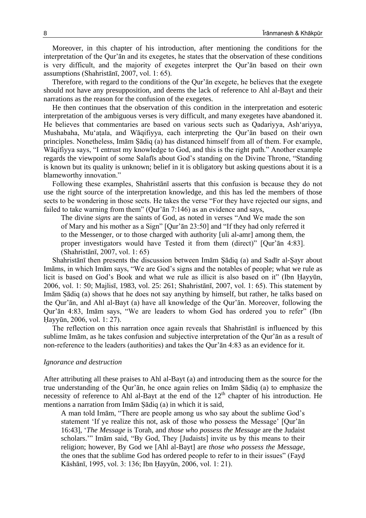Moreover, in this chapter of his introduction, after mentioning the conditions for the interpretation of the Qur'ān and its exegetes, he states that the observation of these conditions is very difficult, and the majority of exegetes interpret the Qur'ān based on their own assumptions (Shahristānī, 2007, vol. 1: 65).

Therefore, with regard to the conditions of the Qur'ān exegete, he believes that the exegete should not have any presupposition, and deems the lack of reference to Ahl al-Bayt and their narrations as the reason for the confusion of the exegetes.

He then continues that the observation of this condition in the interpretation and esoteric interpretation of the ambiguous verses is very difficult, and many exegetes have abandoned it. He believes that commentaries are based on various sects such as Qadariyya, Ash'ariyya, Mushabaha, Mu'aṭala, and Wāqifiyya, each interpreting the Qur'ān based on their own principles. Nonetheless, Imām Ṣādiq (a) has distanced himself from all of them. For example, Wāqifiyya says, "I entrust my knowledge to God, and this is the right path." Another example regards the viewpoint of some Salafīs about God's standing on the Divine Throne, "Standing is known but its quality is unknown; belief in it is obligatory but asking questions about it is a blameworthy innovation."

Following these examples, Shahristānī asserts that this confusion is because they do not use the right source of the interpretation knowledge, and this has led the members of those sects to be wondering in those sects. He takes the verse "For they have rejected our signs, and failed to take warning from them" (Qur'ān 7:146) as an evidence and says,

The divine *signs* are the saints of God, as noted in verses "And We made the son of Mary and his mother as a Sign" [Qur'ān 23:50] and "If they had only referred it to the Messenger, or to those charged with authority [uli al-amr] among them, the proper investigators would have Tested it from them (direct)" [Qur'ān 4:83]. (Shahristānī, 2007, vol. 1: 65)

Shahristānī then presents the discussion between Imām Ṣādiq (a) and Sadīr al-Ṣayr about Imāms, in which Imām says, "We are God's signs and the notables of people; what we rule as licit is based on God's Book and what we rule as illicit is also based on it" (Ibn Ḥayyūn, 2006, vol. 1: 50; Majlisī, 1983, vol. 25: 261; Shahristānī, 2007, vol. 1: 65). This statement by Imām Ṣādiq (a) shows that he does not say anything by himself, but rather, he talks based on the Qur'ān, and Ahl al-Bayt (a) have all knowledge of the Qur'ān. Moreover, following the Qur'ān 4:83, Imām says, "We are leaders to whom God has ordered you to refer" (Ibn Ḥayyūn, 2006, vol. 1: 27).

The reflection on this narration once again reveals that Shahristānī is influenced by this sublime Imām, as he takes confusion and subjective interpretation of the Qur'ān as a result of non-reference to the leaders (authorities) and takes the Qur'ān 4:83 as an evidence for it.

#### *Ignorance and destruction*

After attributing all these praises to Ahl al-Bayt (a) and introducing them as the source for the true understanding of the Qur'ān, he once again relies on Imām Ṣādiq (a) to emphasize the necessity of reference to Ahl al-Bayt at the end of the  $12<sup>th</sup>$  chapter of his introduction. He mentions a narration from Imām Ṣādiq (a) in which it is said,

A man told Imām, "There are people among us who say about the sublime God's statement 'If ye realize this not, ask of those who possess the Message' [Qur'ān 16:43], '*The Message* is Torah, and *those who possess the Message* are the Judaist scholars.'" Imām said, "By God, They [Judaists] invite us by this means to their religion; however, By God we [Ahl al-Bayt] are *those who possess the Message*, the ones that the sublime God has ordered people to refer to in their issues" (Fayḍ Kāshānī, 1995, vol. 3: 136; Ibn Ḥayyūn, 2006, vol. 1: 21).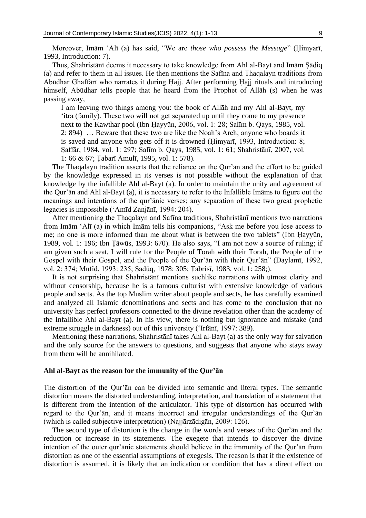Moreover, Imām 'Alī (a) has said, "We are *those who possess the Message*" (Ḥimyarī, 1993, Introduction: 7).

Thus, Shahristānī deems it necessary to take knowledge from Ahl al-Bayt and Imām Ṣādiq (a) and refer to them in all issues. He then mentions the Safīna and Thaqalayn traditions from Abūdhar Ghaffārī who narrates it during Ḥajj. After performing Ḥajj rituals and introducing himself, Abūdhar tells people that he heard from the Prophet of Allāh (s) when he was passing away,

I am leaving two things among you: the book of Allāh and my Ahl al-Bayt, my 'itra (family). These two will not get separated up until they come to my presence next to the Kawthar pool (Ibn Ḥayyūn, 2006, vol. 1: 28; Salīm b. Qays, 1985, vol. 2: 894) … Beware that these two are like the Noah's Arch; anyone who boards it is saved and anyone who gets off it is drowned (Ḥimyarī, 1993, Introduction: 8; Ṣaffār, 1984, vol. 1: 297; Salīm b. Qays, 1985, vol. 1: 61; Shahristānī, 2007, vol. 1: 66 & 67; Ṭabarī Āmulī, 1995, vol. 1: 578).

The Thaqalayn tradition asserts that the reliance on the Qur'ān and the effort to be guided by the knowledge expressed in its verses is not possible without the explanation of that knowledge by the infallible Ahl al-Bayt (a). In order to maintain the unity and agreement of the Qur'ān and Ahl al-Bayt (a), it is necessary to refer to the Infallible Imāms to figure out the meanings and intentions of the qur'ānic verses; any separation of these two great prophetic legacies is impossible ('Amīd Zanjānī, 1994: 204).

After mentioning the Thaqalayn and Safīna traditions, Shahristānī mentions two narrations from Imām 'Alī (a) in which Imām tells his companions, "Ask me before you lose access to me; no one is more informed than me about what is between the two tablets" (Ibn Ḥayyūn, 1989, vol. 1: 196; Ibn Ṭāwūs, 1993: 670). He also says, "I am not now a source of ruling; if am given such a seat, I will rule for the People of Torah with their Torah, the People of the Gospel with their Gospel, and the People of the Qur'ān with their Qur'ān" (Daylamī, 1992, vol. 2: 374; Mufīd, 1993: 235; Ṣadūq, 1978: 305; Ṭabrisī, 1983, vol. 1: 258;).

It is not surprising that Shahristānī mentions suchlike narrations with utmost clarity and without censorship, because he is a famous culturist with extensive knowledge of various people and sects. As the top Muslim writer about people and sects, he has carefully examined and analyzed all Islamic denominations and sects and has come to the conclusion that no university has perfect professors connected to the divine revelation other than the academy of the Infallible Ahl al-Bayt (a). In his view, there is nothing but ignorance and mistake (and extreme struggle in darkness) out of this university ('Irfānī, 1997: 389).

Mentioning these narrations, Shahristānī takes Ahl al-Bayt (a) as the only way for salvation and the only source for the answers to questions, and suggests that anyone who stays away from them will be annihilated.

#### **Ahl al-Bayt as the reason for the immunity of the Qur'ān**

The distortion of the Qur'ān can be divided into semantic and literal types. The semantic distortion means the distorted understanding, interpretation, and translation of a statement that is different from the intention of the articulator. This type of distortion has occurred with regard to the Qur'ān, and it means incorrect and irregular understandings of the Qur'ān (which is called subjective interpretation) (Najjārzādigān, 2009: 126).

The second type of distortion is the change in the words and verses of the Qur'ān and the reduction or increase in its statements. The exegete that intends to discover the divine intention of the outer qur'ānic statements should believe in the immunity of the Qur'ān from distortion as one of the essential assumptions of exegesis. The reason is that if the existence of distortion is assumed, it is likely that an indication or condition that has a direct effect on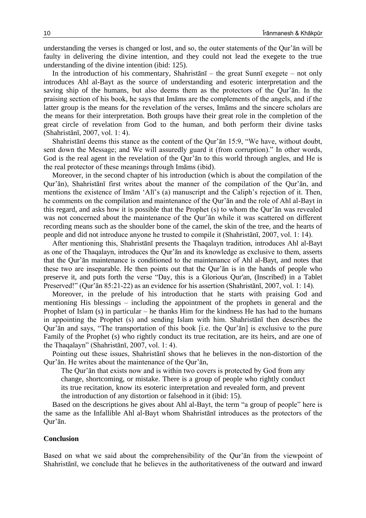understanding the verses is changed or lost, and so, the outer statements of the Qur'ān will be faulty in delivering the divine intention, and they could not lead the exegete to the true understanding of the divine intention (ibid: 125).

In the introduction of his commentary, Shahristānī – the great Sunnī exegete – not only introduces Ahl al-Bayt as the source of understanding and esoteric interpretation and the saving ship of the humans, but also deems them as the protectors of the Qur'ān. In the praising section of his book, he says that Imāms are the complements of the angels, and if the latter group is the means for the revelation of the verses, Imāms and the sincere scholars are the means for their interpretation. Both groups have their great role in the completion of the great circle of revelation from God to the human, and both perform their divine tasks (Shahristānī, 2007, vol. 1: 4).

Shahristānī deems this stance as the content of the Qur'ān 15:9, "We have, without doubt, sent down the Message; and We will assuredly guard it (from corruption)." In other words, God is the real agent in the revelation of the Qur'ān to this world through angles, and He is the real protector of these meanings through Imāms (ibid).

Moreover, in the second chapter of his introduction (which is about the compilation of the Qur'ān), Shahristānī first writes about the manner of the compilation of the Qur'ān, and mentions the existence of Imām 'Alī's (a) manuscript and the Caliph's rejection of it. Then, he comments on the compilation and maintenance of the Qur'ān and the role of Ahl al-Bayt in this regard, and asks how it is possible that the Prophet (s) to whom the Qur'ān was revealed was not concerned about the maintenance of the Qur'ān while it was scattered on different recording means such as the shoulder bone of the camel, the skin of the tree, and the hearts of people and did not introduce anyone he trusted to compile it (Shahristānī, 2007, vol. 1: 14).

After mentioning this, Shahristānī presents the Thaqalayn tradition, introduces Ahl al-Bayt as one of the Thaqalayn, introduces the Qur'ān and its knowledge as exclusive to them, asserts that the Qur'ān maintenance is conditioned to the maintenance of Ahl al-Bayt, and notes that these two are inseparable. He then points out that the Qur'ān is in the hands of people who preserve it, and puts forth the verse "Day, this is a Glorious Qur'an, (Inscribed) in a Tablet Preserved!" (Qur'ān 85:21-22) as an evidence for his assertion (Shahristānī, 2007, vol. 1: 14).

Moreover, in the prelude of his introduction that he starts with praising God and mentioning His blessings – including the appointment of the prophets in general and the Prophet of Islam (s) in particular – he thanks Him for the kindness He has had to the humans in appointing the Prophet (s) and sending Islam with him. Shahristānī then describes the Qur'ān and says, "The transportation of this book [i.e. the Qur'ān] is exclusive to the pure Family of the Prophet (s) who rightly conduct its true recitation, are its heirs, and are one of the Thaqalayn" (Shahristānī, 2007, vol. 1: 4).

Pointing out these issues, Shahristānī shows that he believes in the non-distortion of the Qur'ān. He writes about the maintenance of the Qur'ān,

The Qur'ān that exists now and is within two covers is protected by God from any change, shortcoming, or mistake. There is a group of people who rightly conduct its true recitation, know its esoteric interpretation and revealed form, and prevent the introduction of any distortion or falsehood in it (ibid: 15).

Based on the descriptions he gives about Ahl al-Bayt, the term "a group of people" here is the same as the Infallible Ahl al-Bayt whom Shahristānī introduces as the protectors of the Qur'ān.

#### **Conclusion**

Based on what we said about the comprehensibility of the Qur'ān from the viewpoint of Shahristānī, we conclude that he believes in the authoritativeness of the outward and inward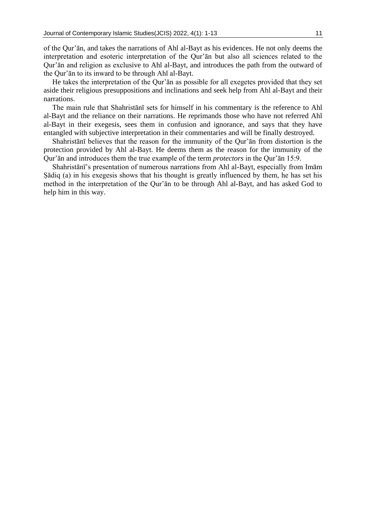of the Qur'ān, and takes the narrations of Ahl al-Bayt as his evidences. He not only deems the interpretation and esoteric interpretation of the Qur'ān but also all sciences related to the Qur'ān and religion as exclusive to Ahl al-Bayt, and introduces the path from the outward of the Qur'ān to its inward to be through Ahl al-Bayt.

He takes the interpretation of the Qur'ān as possible for all exegetes provided that they set aside their religious presuppositions and inclinations and seek help from Ahl al-Bayt and their narrations.

The main rule that Shahristānī sets for himself in his commentary is the reference to Ahl al-Bayt and the reliance on their narrations. He reprimands those who have not referred Ahl al-Bayt in their exegesis, sees them in confusion and ignorance, and says that they have entangled with subjective interpretation in their commentaries and will be finally destroyed.

Shahristānī believes that the reason for the immunity of the Qur'ān from distortion is the protection provided by Ahl al-Bayt. He deems them as the reason for the immunity of the Qur'ān and introduces them the true example of the term *protectors* in the Qur'ān 15:9.

Shahristānī's presentation of numerous narrations from Ahl al-Bayt, especially from Imām Ṣādiq (a) in his exegesis shows that his thought is greatly influenced by them, he has set his method in the interpretation of the Qur'ān to be through Ahl al-Bayt, and has asked God to help him in this way.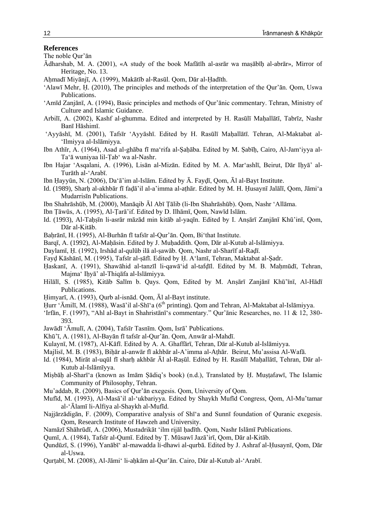#### **References**

The noble Qur'ān

- Ādharshab, M. A. (2001), «A study of the book Mafātīh al-asrār wa maṣābīḥ al-abrār», Mirror of Heritage, No. 13.
- Aḥmadī Miyānjī, A. (1999), Makātīb al-Rasūl. Qom, Dār al-Ḥadīth.
- 'Alawī Mehr, Ḥ. (2010), The principles and methods of the interpretation of the Qur'ān. Qom, Uswa Publications.
- 'Amīd Zanjānī, A. (1994), Basic principles and methods of Qur'ānic commentary. Tehran, Ministry of Culture and Islamic Guidance.
- Arbilī, A. (2002), Kashf al-ghumma. Edited and interpreted by H. Rasūlī Maḥallātī, Tabrīz, Nashr Banī Hāshimī.
- 'Ayyāshī, M. (2001), Tafsīr 'Ayyāshī. Edited by H. Rasūlī Maḥallātī. Tehran, Al-Maktabat al- 'Ilmiyya al-Islāmiyya.
- Ibn Athīr, A. (1964), Asad al-ghāba fī ma'rifa al-Ṣaḥāba. Edited by M. Ṣabīḥ, Cairo, Al-Jam'iyya al-Ta'ā wuniyaa lil-Ṭab' wa al-Nashr.
- Ibn Hajar 'Asqalani, A. (1996), Lisān al-Mizān. Edited by M. A. Mar'ashlī, Beirut, Dār Iḥyā' al-Turāth al-'Arabī.
- Ibn Ḥayyūn, N. (2006), Da'ā'im al-Islām. Edited by Ā. Fayḍī, Qom, Āl al-Bayt Institute.
- Id. (1989), Sharḥ al-akhbār fī faḍā'il al-a'imma al-aṭhār. Edited by M. H. Ḥusaynī Jalālī, Qom, Jāmi'a Mudarrisīn Publications.
- Ibn Shahrāshūb, M. (2000), Manāqib Āl Abī Ṭālib (li-Ibn Shahrāshūb). Qom, Nashr 'Allāma.
- Ibn Ṭāwūs, A. (1995), Al-Ṭarā'if. Edited by D. Ilhāmī, Qom, Nawīd Islām.
- Id. (1993), Al-Taḥṣīn li-asrār māzād min kitāb al-yaqīn. Edited by I. Anṣārī Zanjānī Khū'inī, Qom, Dār al-Kitāb.
- Baḥrānī, H. (1995), Al-Burhān fī tafsīr al-Qur'ān. Qom, Bi'that Institute.
- Barqī, A. (1992), Al-Mahāsin. Edited by J. Muhaddith. Qom, Dār al-Kutub al-Islāmiyya.
- Daylamī, Ḥ. (1992), Irshād al-qulūb ilā al-ṣawāb. Qom, Nashr al-Sharīf al-Raḍī.
- Fayḍ Kāshānī, M. (1995), Tafsīr al-ṣāfī. Edited by Ḥ. A'lamī, Tehran, Maktabat al-Ṣadr.
- Haskanī, A. (1991), Shawāhid al-tanzīl li-qawā id al-tafdīl. Edited by M. B. Mahmūdī, Tehran, Majma' Iḥyā' al-Thiqāfa al-Islāmiyya.
- Hilālī, S. (1985), Kitāb Salīm b. Qays. Qom, Edited by M. Anṣārī Zanjānī Khū'īnī, Al-Hādī Publications.
- Ḥimyarī, A. (1993), Qurb al-isnād. Qom, Āl al-Bayt institute.
- Hurr 'Āmilī, M. (1988), Wasā'il al-Shī'a (6<sup>th</sup> printing). Qom and Tehran, Al-Maktabat al-Islāmiyya.
- 'Irfān, F. (1997), "Ahl al-Bayt in Shahristānī's commentary." Qur'ānic Researches, no. 11 & 12, 380- 393.
- Jawādī 'Āmulī, A. (2004), Tafsīr Tasnīm. Qom, Isrā' Publications.
- Khū'ī, A. (1981), Al-Bayān fī tafsīr al-Qur'ān. Qom, Anwār al-Mahdī.
- Kulaynī, M. (1987), Al-Kāfī. Edited by A. A. Ghaffārī, Tehran, Dār al-Kutub al-Islāmiyya.
- Majlisī, M. B. (1983), Biḥār al-anwār fī akhbār al-A'imma al-Aṭhār. Beirut, Mu'assisa Al-Wafā.
- Id. (1984), Mirāt al-uqūl fī sharh akhbār Āl al-Rasūl. Edited by H. Rasūlī Mahallātī, Tehran, Dār al-Kutub al-Islāmīyya.
- Miṣbāḥ al-Sharī'a (known as Imām Ṣādiq's book) (n.d.), Translated by Ḥ. Muṣṭafawī, The Islamic Community of Philosophy, Tehran.
- Mu'addab, R. (2009), Basics of Qur'ān exegesis. Qom, University of Qom.
- Mufīd, M. (1993), Al-Masā'il al-'ukbariyya. Edited by Shaykh Mufīd Congress, Qom, Al-Mu'tamar al-'Ālamī li-Alfiya al-Shaykh al-Mufīd.
- Najjārzādigān, F. (2009), Comparative analysis of Shī'a and Sunnī foundation of Quranic exegesis. Qom, Research Institute of Hawzeh and University.
- Namāzī Shāhrūdī, A. (2006), Mustadrikāt 'ilm rijāl ḥadīth. Qom, Nashr Islāmī Publications.
- Qumī, A. (1984), Tafsīr al-Qumī. Edited by Ṭ. Mūsawī Jazā'irī, Qom, Dār al-Kitāb.
- Qundūzī, S. (1996), Yanābī' al-mawadda li-dhawi al-qurbā. Edited by J. Ashraf al-Ḥusaynī, Qom, Dār al-Uswa.
- Qurṭabī, M. (2008), Al-Jāmi' li-aḥkām al-Qur'ān. Cairo, Dār al-Kutub al-'Arabī.